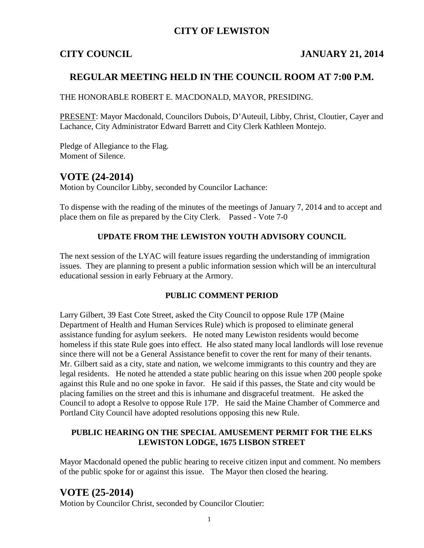## **CITY OF LEWISTON**

## **CITY COUNCIL JANUARY 21, 2014**

## **REGULAR MEETING HELD IN THE COUNCIL ROOM AT 7:00 P.M.**

THE HONORABLE ROBERT E. MACDONALD, MAYOR, PRESIDING.

PRESENT: Mayor Macdonald, Councilors Dubois, D'Auteuil, Libby, Christ, Cloutier, Cayer and Lachance, City Administrator Edward Barrett and City Clerk Kathleen Montejo.

Pledge of Allegiance to the Flag. Moment of Silence.

## **VOTE (24-2014)**

Motion by Councilor Libby, seconded by Councilor Lachance:

To dispense with the reading of the minutes of the meetings of January 7, 2014 and to accept and place them on file as prepared by the City Clerk. Passed - Vote 7-0

### **UPDATE FROM THE LEWISTON YOUTH ADVISORY COUNCIL**

The next session of the LYAC will feature issues regarding the understanding of immigration issues. They are planning to present a public information session which will be an intercultural educational session in early February at the Armory.

#### **PUBLIC COMMENT PERIOD**

Larry Gilbert, 39 East Cote Street, asked the City Council to oppose Rule 17P (Maine Department of Health and Human Services Rule) which is proposed to eliminate general assistance funding for asylum seekers. He noted many Lewiston residents would become homeless if this state Rule goes into effect. He also stated many local landlords will lose revenue since there will not be a General Assistance benefit to cover the rent for many of their tenants. Mr. Gilbert said as a city, state and nation, we welcome immigrants to this country and they are legal residents. He noted he attended a state public hearing on this issue when 200 people spoke against this Rule and no one spoke in favor. He said if this passes, the State and city would be placing families on the street and this is inhumane and disgraceful treatment. He asked the Council to adopt a Resolve to oppose Rule 17P. He said the Maine Chamber of Commerce and Portland City Council have adopted resolutions opposing this new Rule.

#### **PUBLIC HEARING ON THE SPECIAL AMUSEMENT PERMIT FOR THE ELKS LEWISTON LODGE, 1675 LISBON STREET**

Mayor Macdonald opened the public hearing to receive citizen input and comment. No members of the public spoke for or against this issue. The Mayor then closed the hearing.

## **VOTE (25-2014)**

Motion by Councilor Christ, seconded by Councilor Cloutier: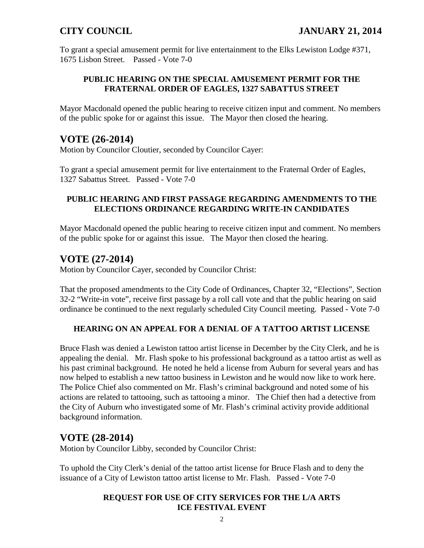To grant a special amusement permit for live entertainment to the Elks Lewiston Lodge #371, 1675 Lisbon Street. Passed - Vote 7-0

## **PUBLIC HEARING ON THE SPECIAL AMUSEMENT PERMIT FOR THE FRATERNAL ORDER OF EAGLES, 1327 SABATTUS STREET**

Mayor Macdonald opened the public hearing to receive citizen input and comment. No members of the public spoke for or against this issue. The Mayor then closed the hearing.

# **VOTE (26-2014)**

Motion by Councilor Cloutier, seconded by Councilor Cayer:

To grant a special amusement permit for live entertainment to the Fraternal Order of Eagles, 1327 Sabattus Street. Passed - Vote 7-0

### **PUBLIC HEARING AND FIRST PASSAGE REGARDING AMENDMENTS TO THE ELECTIONS ORDINANCE REGARDING WRITE-IN CANDIDATES**

Mayor Macdonald opened the public hearing to receive citizen input and comment. No members of the public spoke for or against this issue. The Mayor then closed the hearing.

# **VOTE (27-2014)**

Motion by Councilor Cayer, seconded by Councilor Christ:

That the proposed amendments to the City Code of Ordinances, Chapter 32, "Elections", Section 32-2 "Write-in vote", receive first passage by a roll call vote and that the public hearing on said ordinance be continued to the next regularly scheduled City Council meeting. Passed - Vote 7-0

## **HEARING ON AN APPEAL FOR A DENIAL OF A TATTOO ARTIST LICENSE**

Bruce Flash was denied a Lewiston tattoo artist license in December by the City Clerk, and he is appealing the denial. Mr. Flash spoke to his professional background as a tattoo artist as well as his past criminal background. He noted he held a license from Auburn for several years and has now helped to establish a new tattoo business in Lewiston and he would now like to work here. The Police Chief also commented on Mr. Flash's criminal background and noted some of his actions are related to tattooing, such as tattooing a minor. The Chief then had a detective from the City of Auburn who investigated some of Mr. Flash's criminal activity provide additional background information.

# **VOTE (28-2014)**

Motion by Councilor Libby, seconded by Councilor Christ:

To uphold the City Clerk's denial of the tattoo artist license for Bruce Flash and to deny the issuance of a City of Lewiston tattoo artist license to Mr. Flash. Passed - Vote 7-0

### **REQUEST FOR USE OF CITY SERVICES FOR THE L/A ARTS ICE FESTIVAL EVENT**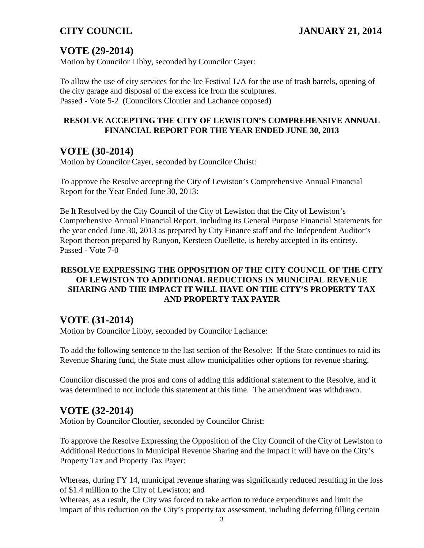# **VOTE (29-2014)**

Motion by Councilor Libby, seconded by Councilor Cayer:

To allow the use of city services for the Ice Festival L/A for the use of trash barrels, opening of the city garage and disposal of the excess ice from the sculptures. Passed - Vote 5-2 (Councilors Cloutier and Lachance opposed)

## **RESOLVE ACCEPTING THE CITY OF LEWISTON'S COMPREHENSIVE ANNUAL FINANCIAL REPORT FOR THE YEAR ENDED JUNE 30, 2013**

## **VOTE (30-2014)**

Motion by Councilor Cayer, seconded by Councilor Christ:

To approve the Resolve accepting the City of Lewiston's Comprehensive Annual Financial Report for the Year Ended June 30, 2013:

Be It Resolved by the City Council of the City of Lewiston that the City of Lewiston's Comprehensive Annual Financial Report, including its General Purpose Financial Statements for the year ended June 30, 2013 as prepared by City Finance staff and the Independent Auditor's Report thereon prepared by Runyon, Kersteen Ouellette, is hereby accepted in its entirety. Passed - Vote 7-0

## **RESOLVE EXPRESSING THE OPPOSITION OF THE CITY COUNCIL OF THE CITY OF LEWISTON TO ADDITIONAL REDUCTIONS IN MUNICIPAL REVENUE SHARING AND THE IMPACT IT WILL HAVE ON THE CITY'S PROPERTY TAX AND PROPERTY TAX PAYER**

## **VOTE (31-2014)**

Motion by Councilor Libby, seconded by Councilor Lachance:

To add the following sentence to the last section of the Resolve: If the State continues to raid its Revenue Sharing fund, the State must allow municipalities other options for revenue sharing.

Councilor discussed the pros and cons of adding this additional statement to the Resolve, and it was determined to not include this statement at this time. The amendment was withdrawn.

# **VOTE (32-2014)**

Motion by Councilor Cloutier, seconded by Councilor Christ:

To approve the Resolve Expressing the Opposition of the City Council of the City of Lewiston to Additional Reductions in Municipal Revenue Sharing and the Impact it will have on the City's Property Tax and Property Tax Payer:

Whereas, during FY 14, municipal revenue sharing was significantly reduced resulting in the loss of \$1.4 million to the City of Lewiston; and

Whereas, as a result, the City was forced to take action to reduce expenditures and limit the impact of this reduction on the City's property tax assessment, including deferring filling certain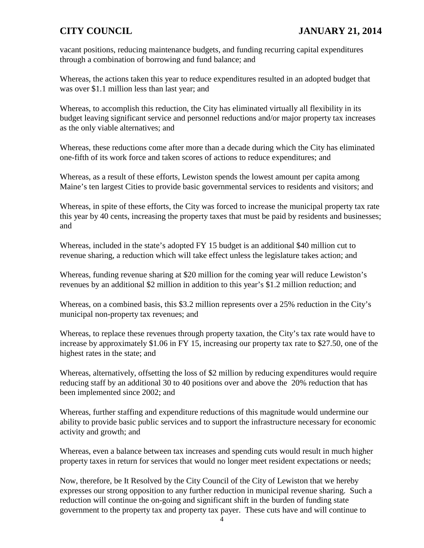vacant positions, reducing maintenance budgets, and funding recurring capital expenditures through a combination of borrowing and fund balance; and

Whereas, the actions taken this year to reduce expenditures resulted in an adopted budget that was over \$1.1 million less than last year; and

Whereas, to accomplish this reduction, the City has eliminated virtually all flexibility in its budget leaving significant service and personnel reductions and/or major property tax increases as the only viable alternatives; and

Whereas, these reductions come after more than a decade during which the City has eliminated one-fifth of its work force and taken scores of actions to reduce expenditures; and

Whereas, as a result of these efforts, Lewiston spends the lowest amount per capita among Maine's ten largest Cities to provide basic governmental services to residents and visitors; and

Whereas, in spite of these efforts, the City was forced to increase the municipal property tax rate this year by 40 cents, increasing the property taxes that must be paid by residents and businesses; and

Whereas, included in the state's adopted FY 15 budget is an additional \$40 million cut to revenue sharing, a reduction which will take effect unless the legislature takes action; and

Whereas, funding revenue sharing at \$20 million for the coming year will reduce Lewiston's revenues by an additional \$2 million in addition to this year's \$1.2 million reduction; and

Whereas, on a combined basis, this \$3.2 million represents over a 25% reduction in the City's municipal non-property tax revenues; and

Whereas, to replace these revenues through property taxation, the City's tax rate would have to increase by approximately \$1.06 in FY 15, increasing our property tax rate to \$27.50, one of the highest rates in the state; and

Whereas, alternatively, offsetting the loss of \$2 million by reducing expenditures would require reducing staff by an additional 30 to 40 positions over and above the 20% reduction that has been implemented since 2002; and

Whereas, further staffing and expenditure reductions of this magnitude would undermine our ability to provide basic public services and to support the infrastructure necessary for economic activity and growth; and

Whereas, even a balance between tax increases and spending cuts would result in much higher property taxes in return for services that would no longer meet resident expectations or needs;

Now, therefore, be It Resolved by the City Council of the City of Lewiston that we hereby expresses our strong opposition to any further reduction in municipal revenue sharing. Such a reduction will continue the on-going and significant shift in the burden of funding state government to the property tax and property tax payer. These cuts have and will continue to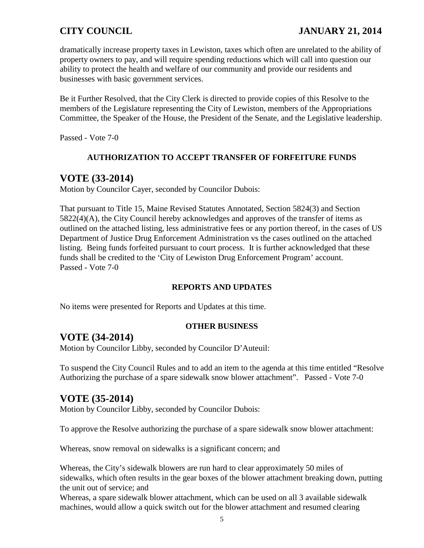## **CITY COUNCIL JANUARY 21, 2014**

dramatically increase property taxes in Lewiston, taxes which often are unrelated to the ability of property owners to pay, and will require spending reductions which will call into question our ability to protect the health and welfare of our community and provide our residents and businesses with basic government services.

Be it Further Resolved, that the City Clerk is directed to provide copies of this Resolve to the members of the Legislature representing the City of Lewiston, members of the Appropriations Committee, the Speaker of the House, the President of the Senate, and the Legislative leadership.

Passed - Vote 7-0

### **AUTHORIZATION TO ACCEPT TRANSFER OF FORFEITURE FUNDS**

## **VOTE (33-2014)**

Motion by Councilor Cayer, seconded by Councilor Dubois:

That pursuant to Title 15, Maine Revised Statutes Annotated, Section 5824(3) and Section 5822(4)(A), the City Council hereby acknowledges and approves of the transfer of items as outlined on the attached listing, less administrative fees or any portion thereof, in the cases of US Department of Justice Drug Enforcement Administration vs the cases outlined on the attached listing. Being funds forfeited pursuant to court process. It is further acknowledged that these funds shall be credited to the 'City of Lewiston Drug Enforcement Program' account. Passed - Vote 7-0

### **REPORTS AND UPDATES**

No items were presented for Reports and Updates at this time.

#### **OTHER BUSINESS**

## **VOTE (34-2014)**

Motion by Councilor Libby, seconded by Councilor D'Auteuil:

To suspend the City Council Rules and to add an item to the agenda at this time entitled "Resolve Authorizing the purchase of a spare sidewalk snow blower attachment". Passed - Vote 7-0

## **VOTE (35-2014)**

Motion by Councilor Libby, seconded by Councilor Dubois:

To approve the Resolve authorizing the purchase of a spare sidewalk snow blower attachment:

Whereas, snow removal on sidewalks is a significant concern; and

Whereas, the City's sidewalk blowers are run hard to clear approximately 50 miles of sidewalks, which often results in the gear boxes of the blower attachment breaking down, putting the unit out of service; and

Whereas, a spare sidewalk blower attachment, which can be used on all 3 available sidewalk machines, would allow a quick switch out for the blower attachment and resumed clearing